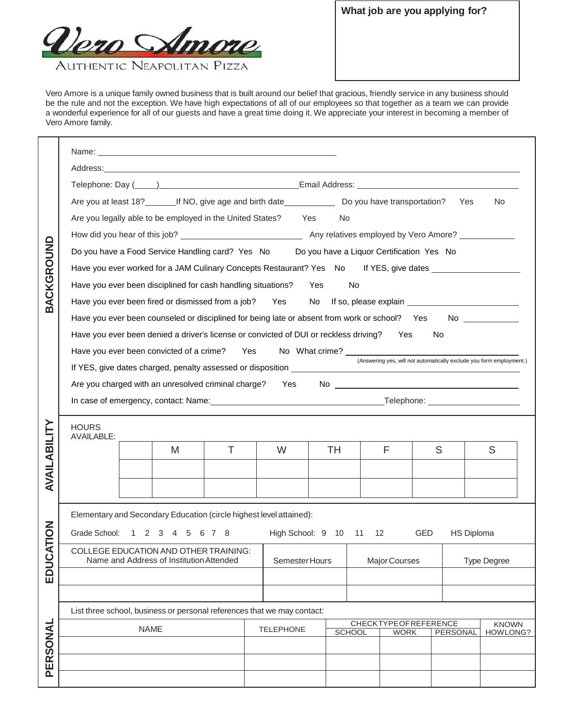**What job are you applying for?**



Vero Amore is a unique family owned business that is built around our belief that gracious, friendly service in any business should be the rule and not the exception. We have high expectations of all of our employees so that together as a team we can provide a wonderful experience for all of our guests and have a great time doing it. We appreciate your interest in becoming a member of Vero Amore family.

|              | Telephone: Day (Company Company Company Company Company Company Company Company Company Company Company Company |   |   |                  |     |                                                             |   |   |                                             |  |  |  |  |
|--------------|-----------------------------------------------------------------------------------------------------------------|---|---|------------------|-----|-------------------------------------------------------------|---|---|---------------------------------------------|--|--|--|--|
|              | No.                                                                                                             |   |   |                  |     |                                                             |   |   |                                             |  |  |  |  |
|              | Are you legally able to be employed in the United States? Yes<br>No                                             |   |   |                  |     |                                                             |   |   |                                             |  |  |  |  |
|              |                                                                                                                 |   |   |                  |     |                                                             |   |   |                                             |  |  |  |  |
|              | Do you have a Food Service Handling card? Yes No Do you have a Liquor Certification Yes No                      |   |   |                  |     |                                                             |   |   |                                             |  |  |  |  |
|              | Have you ever worked for a JAM Culinary Concepts Restaurant? Yes No If YES, give dates _____________            |   |   |                  |     |                                                             |   |   |                                             |  |  |  |  |
|              | Have you ever been disciplined for cash handling situations?<br>Yes<br>No                                       |   |   |                  |     |                                                             |   |   |                                             |  |  |  |  |
| BACKGROUND   | Have you ever been fired or dismissed from a job? Yes No If so, please explain ____________________             |   |   |                  |     |                                                             |   |   |                                             |  |  |  |  |
|              | Have you ever been counseled or disciplined for being late or absent from work or school? Yes No                |   |   |                  |     |                                                             |   |   |                                             |  |  |  |  |
|              | Have you ever been denied a driver's license or convicted of DUI or reckless driving? Yes<br>No                 |   |   |                  |     |                                                             |   |   |                                             |  |  |  |  |
|              | Have you ever been convicted of a crime? Yes No What crime? ____________________                                |   |   |                  |     |                                                             |   |   |                                             |  |  |  |  |
|              | (Answering yes, will not automatically exclude you form employment.)                                            |   |   |                  |     |                                                             |   |   |                                             |  |  |  |  |
|              | Are you charged with an unresolved criminal charge? Yes                                                         |   |   |                  |     |                                                             |   |   |                                             |  |  |  |  |
|              |                                                                                                                 |   |   |                  |     |                                                             |   |   |                                             |  |  |  |  |
|              |                                                                                                                 |   |   |                  |     |                                                             |   |   |                                             |  |  |  |  |
| AVAILABILITY | <b>HOURS</b><br><b>AVAILABLE:</b>                                                                               |   |   |                  |     |                                                             |   |   |                                             |  |  |  |  |
|              |                                                                                                                 | M | T | W                | TH. |                                                             | F | S | S                                           |  |  |  |  |
|              |                                                                                                                 |   |   |                  |     |                                                             |   |   |                                             |  |  |  |  |
|              |                                                                                                                 |   |   |                  |     |                                                             |   |   |                                             |  |  |  |  |
|              |                                                                                                                 |   |   |                  |     |                                                             |   |   |                                             |  |  |  |  |
|              | Elementary and Secondary Education (circle highest level attained):                                             |   |   |                  |     |                                                             |   |   |                                             |  |  |  |  |
| <b>NOITA</b> | Grade School: 1 2 3 4 5 6 7 8 High School: 9 10 11<br><b>GED</b><br>HS Diploma<br>12 <sup>12</sup>              |   |   |                  |     |                                                             |   |   |                                             |  |  |  |  |
|              | COLLEGE EDUCATION AND OTHER TRAINING:  <br>Name and Address of Institution Attended                             |   |   | Semester Hours   |     | Major Courses                                               |   |   | <b>Type Degree</b>                          |  |  |  |  |
| EDUC         |                                                                                                                 |   |   |                  |     |                                                             |   |   |                                             |  |  |  |  |
|              |                                                                                                                 |   |   |                  |     |                                                             |   |   |                                             |  |  |  |  |
|              | List three school, business or personal references that we may contact:                                         |   |   |                  |     |                                                             |   |   |                                             |  |  |  |  |
|              | <b>NAME</b>                                                                                                     |   |   | <b>TELEPHONE</b> |     | <b>CHECKTYPEOFREFERENCE</b><br><b>SCHOOL</b><br><b>WORK</b> |   |   | <b>KNOWN</b><br><b>PERSONAL</b><br>HOWLONG? |  |  |  |  |
|              |                                                                                                                 |   |   |                  |     |                                                             |   |   |                                             |  |  |  |  |
|              |                                                                                                                 |   |   |                  |     |                                                             |   |   |                                             |  |  |  |  |
| PERSONAL     |                                                                                                                 |   |   |                  |     |                                                             |   |   |                                             |  |  |  |  |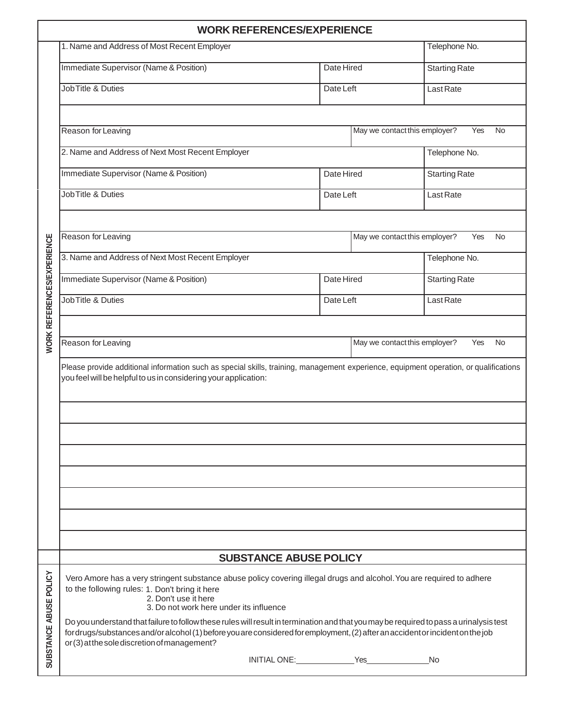| <b>WORK REFERENCES/EXPERIENCE</b> |                                                                                                                                                                                                                                                                                                                         |                                                   |                                                   |                      |  |  |  |  |  |  |
|-----------------------------------|-------------------------------------------------------------------------------------------------------------------------------------------------------------------------------------------------------------------------------------------------------------------------------------------------------------------------|---------------------------------------------------|---------------------------------------------------|----------------------|--|--|--|--|--|--|
|                                   | 1. Name and Address of Most Recent Employer                                                                                                                                                                                                                                                                             |                                                   | Telephone No.                                     |                      |  |  |  |  |  |  |
|                                   | Immediate Supervisor (Name & Position)                                                                                                                                                                                                                                                                                  | Date Hired                                        |                                                   | <b>Starting Rate</b> |  |  |  |  |  |  |
|                                   | <b>Job Title &amp; Duties</b><br>Date Left                                                                                                                                                                                                                                                                              |                                                   |                                                   | Last Rate            |  |  |  |  |  |  |
|                                   |                                                                                                                                                                                                                                                                                                                         |                                                   |                                                   |                      |  |  |  |  |  |  |
|                                   | Reason for Leaving                                                                                                                                                                                                                                                                                                      | May we contact this employer?<br>Yes<br><b>No</b> |                                                   |                      |  |  |  |  |  |  |
|                                   | 2. Name and Address of Next Most Recent Employer                                                                                                                                                                                                                                                                        |                                                   | Telephone No.                                     |                      |  |  |  |  |  |  |
|                                   | Immediate Supervisor (Name & Position)                                                                                                                                                                                                                                                                                  |                                                   | Date Hired                                        | <b>Starting Rate</b> |  |  |  |  |  |  |
|                                   | Job Title & Duties                                                                                                                                                                                                                                                                                                      | Date Left                                         |                                                   | Last Rate            |  |  |  |  |  |  |
|                                   |                                                                                                                                                                                                                                                                                                                         |                                                   |                                                   |                      |  |  |  |  |  |  |
|                                   | Reason for Leaving                                                                                                                                                                                                                                                                                                      |                                                   | May we contact this employer?<br>Yes<br><b>No</b> |                      |  |  |  |  |  |  |
|                                   | 3. Name and Address of Next Most Recent Employer                                                                                                                                                                                                                                                                        | Telephone No.                                     |                                                   |                      |  |  |  |  |  |  |
|                                   | Immediate Supervisor (Name & Position)                                                                                                                                                                                                                                                                                  | Date Hired                                        |                                                   | <b>Starting Rate</b> |  |  |  |  |  |  |
| <b>NORK REFERENCES/EXPERIENCE</b> | <b>Job Title &amp; Duties</b>                                                                                                                                                                                                                                                                                           | Date Left                                         |                                                   | Last Rate            |  |  |  |  |  |  |
|                                   |                                                                                                                                                                                                                                                                                                                         |                                                   |                                                   |                      |  |  |  |  |  |  |
|                                   | Reason for Leaving                                                                                                                                                                                                                                                                                                      | May we contact this employer?<br>Yes<br><b>No</b> |                                                   |                      |  |  |  |  |  |  |
|                                   | Please provide additional information such as special skills, training, management experience, equipment operation, or qualifications<br>you feel will be helpful to us in considering your application:                                                                                                                |                                                   |                                                   |                      |  |  |  |  |  |  |
|                                   |                                                                                                                                                                                                                                                                                                                         |                                                   |                                                   |                      |  |  |  |  |  |  |
|                                   |                                                                                                                                                                                                                                                                                                                         |                                                   |                                                   |                      |  |  |  |  |  |  |
|                                   |                                                                                                                                                                                                                                                                                                                         |                                                   |                                                   |                      |  |  |  |  |  |  |
|                                   |                                                                                                                                                                                                                                                                                                                         |                                                   |                                                   |                      |  |  |  |  |  |  |
|                                   |                                                                                                                                                                                                                                                                                                                         |                                                   |                                                   |                      |  |  |  |  |  |  |
|                                   |                                                                                                                                                                                                                                                                                                                         |                                                   |                                                   |                      |  |  |  |  |  |  |
|                                   |                                                                                                                                                                                                                                                                                                                         |                                                   |                                                   |                      |  |  |  |  |  |  |
|                                   |                                                                                                                                                                                                                                                                                                                         |                                                   |                                                   |                      |  |  |  |  |  |  |
|                                   | <b>SUBSTANCE ABUSE POLICY</b>                                                                                                                                                                                                                                                                                           |                                                   |                                                   |                      |  |  |  |  |  |  |
| SUBSTANCE ABUSE POLICY            | Vero Amore has a very stringent substance abuse policy covering illegal drugs and alcohol. You are required to adhere<br>to the following rules: 1. Don't bring it here<br>2. Don't use it here<br>3. Do not work here under its influence                                                                              |                                                   |                                                   |                      |  |  |  |  |  |  |
|                                   | Do you understand that failure to follow these rules will result in termination and that you may be required to pass a urinalysis test<br>fordrugs/substances and/or alcohol (1) before you are considered for employment, (2) after an accident or incident on the job<br>or (3) at the sole discretion of management? |                                                   |                                                   |                      |  |  |  |  |  |  |
|                                   |                                                                                                                                                                                                                                                                                                                         |                                                   | INITIAL ONE: Yes                                  | <b>No</b>            |  |  |  |  |  |  |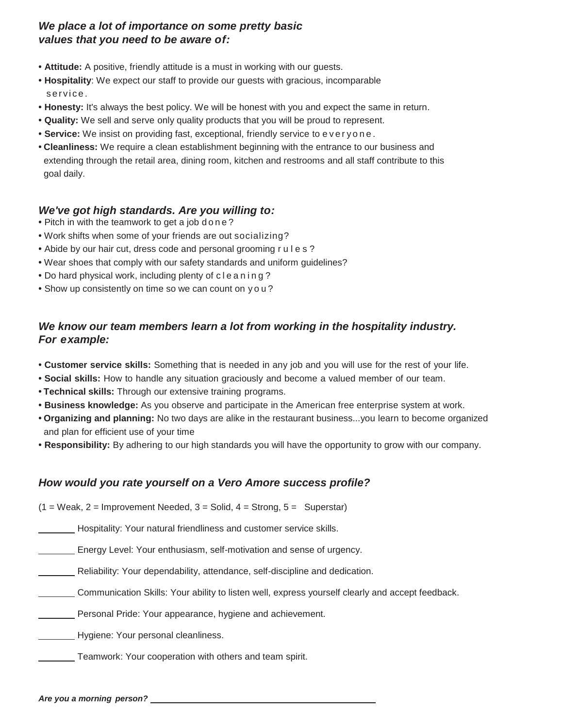## *We place a lot of importance on some pretty basic values that you need to be aware of:*

- **• Attitude:** A positive, friendly attitude is a must in working with our guests.
- **• Hospitality**: We expect our staff to provide our guests with gracious, incomparable service.
- **• Honesty:** It's always the best policy. We will be honest with you and expect the same in return.
- **• Quality:** We sell and serve only quality products that you will be proud to represent.
- **• Service:** We insist on providing fast, exceptional, friendly service to e v e r y o n e .
- **• Cleanliness:** We require a clean establishment beginning with the entrance to our business and extending through the retail area, dining room, kitchen and restrooms and all staff contribute to this goal daily.

## *We've got high standards. Are you willing to:*

- Pitch in with the teamwork to get a job d o n e?
- **•** Work shifts when some of your friends are out socializing?
- **•** Abide by our hair cut, dress code and personal grooming r u l e s ?
- **•** Wear shoes that comply with our safety standards and uniform guidelines?
- **•** Do hard physical work, including plenty of c l e a n i n g ?
- **•** Show up consistently on time so we can count on y o u ?

## *We know our team members learn a lot from working in the hospitality industry. For example:*

- **• Customer service skills:** Something that is needed in any job and you will use for the rest of your life.
- **• Social skills:** How to handle any situation graciously and become a valued member of our team.
- **• Technical skills:** Through our extensive training programs.
- **• Business knowledge:** As you observe and participate in the American free enterprise system at work.
- **• Organizing and planning:** No two days are alike in the restaurant business...you learn to become organized and plan for efficient use of your time
- **• Responsibility:** By adhering to our high standards you will have the opportunity to grow with our company.

## *How would you rate yourself on a Vero Amore success profile?*

 $(1 = \text{Weak}, 2 = \text{Improvement Needed}, 3 = \text{Solid}, 4 = \text{Strong}, 5 = \text{Superstar})$ 

Hospitality: Your natural friendliness and customer service skills.

**Energy Level: Your enthusiasm, self-motivation and sense of urgency.** 

- Reliability: Your dependability, attendance, self-discipline and dedication.
- Communication Skills: Your ability to listen well, express yourself clearly and accept feedback.

Personal Pride: Your appearance, hygiene and achievement.

**EXECUTE:** Hygiene: Your personal cleanliness.

Teamwork: Your cooperation with others and team spirit.